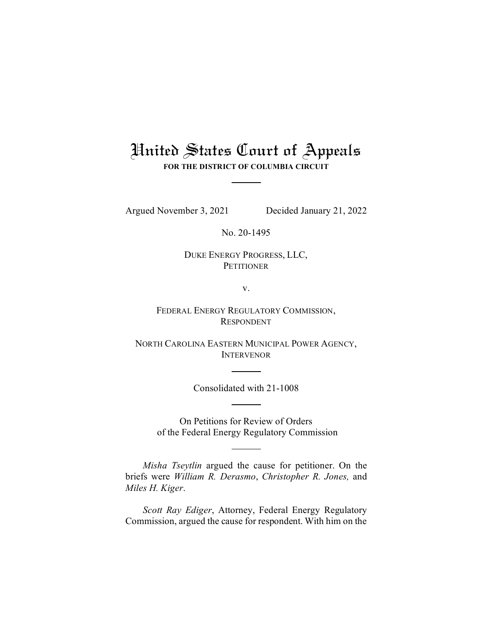## United States Court of Appeals **FOR THE DISTRICT OF COLUMBIA CIRCUIT**

Argued November 3, 2021 Decided January 21, 2022

No. 20-1495

DUKE ENERGY PROGRESS, LLC, **PETITIONER** 

v.

FEDERAL ENERGY REGULATORY COMMISSION, RESPONDENT

NORTH CAROLINA EASTERN MUNICIPAL POWER AGENCY, INTERVENOR

Consolidated with 21-1008

On Petitions for Review of Orders of the Federal Energy Regulatory Commission

*Misha Tseytlin* argued the cause for petitioner. On the briefs were *William R. Derasmo*, *Christopher R. Jones,* and *Miles H. Kiger*.

*Scott Ray Ediger*, Attorney, Federal Energy Regulatory Commission, argued the cause for respondent. With him on the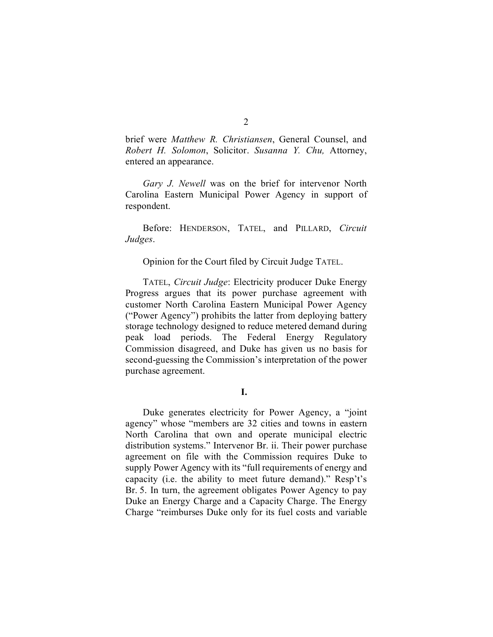brief were *Matthew R. Christiansen*, General Counsel, and *Robert H. Solomon*, Solicitor. *Susanna Y. Chu,* Attorney, entered an appearance.

*Gary J. Newell* was on the brief for intervenor North Carolina Eastern Municipal Power Agency in support of respondent.

Before: HENDERSON, TATEL, and PILLARD, *Circuit Judges*.

Opinion for the Court filed by Circuit Judge TATEL.

TATEL, *Circuit Judge*: Electricity producer Duke Energy Progress argues that its power purchase agreement with customer North Carolina Eastern Municipal Power Agency ("Power Agency") prohibits the latter from deploying battery storage technology designed to reduce metered demand during peak load periods. The Federal Energy Regulatory Commission disagreed, and Duke has given us no basis for second-guessing the Commission's interpretation of the power purchase agreement.

## **I.**

Duke generates electricity for Power Agency, a "joint agency" whose "members are 32 cities and towns in eastern North Carolina that own and operate municipal electric distribution systems." Intervenor Br. ii. Their power purchase agreement on file with the Commission requires Duke to supply Power Agency with its "full requirements of energy and capacity (i.e. the ability to meet future demand)." Resp't's Br. 5. In turn, the agreement obligates Power Agency to pay Duke an Energy Charge and a Capacity Charge. The Energy Charge "reimburses Duke only for its fuel costs and variable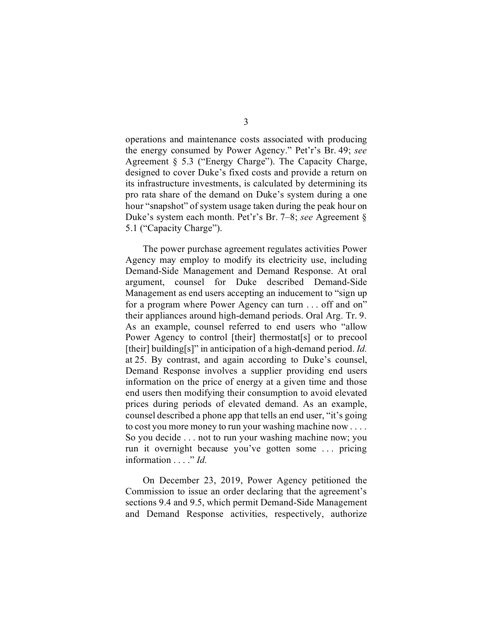operations and maintenance costs associated with producing the energy consumed by Power Agency." Pet'r's Br. 49; *see*  Agreement § 5.3 ("Energy Charge"). The Capacity Charge, designed to cover Duke's fixed costs and provide a return on its infrastructure investments, is calculated by determining its pro rata share of the demand on Duke's system during a one hour "snapshot" of system usage taken during the peak hour on Duke's system each month. Pet'r's Br. 7–8; *see* Agreement § 5.1 ("Capacity Charge").

The power purchase agreement regulates activities Power Agency may employ to modify its electricity use, including Demand-Side Management and Demand Response. At oral argument, counsel for Duke described Demand-Side Management as end users accepting an inducement to "sign up for a program where Power Agency can turn . . . off and on" their appliances around high-demand periods. Oral Arg. Tr. 9. As an example, counsel referred to end users who "allow Power Agency to control [their] thermostat[s] or to precool [their] building[s]" in anticipation of a high-demand period. *Id.* at 25. By contrast, and again according to Duke's counsel, Demand Response involves a supplier providing end users information on the price of energy at a given time and those end users then modifying their consumption to avoid elevated prices during periods of elevated demand. As an example, counsel described a phone app that tells an end user, "it's going to cost you more money to run your washing machine now . . . . So you decide . . . not to run your washing machine now; you run it overnight because you've gotten some . . . pricing information . . . ." *Id.*

On December 23, 2019, Power Agency petitioned the Commission to issue an order declaring that the agreement's sections 9.4 and 9.5, which permit Demand-Side Management and Demand Response activities, respectively, authorize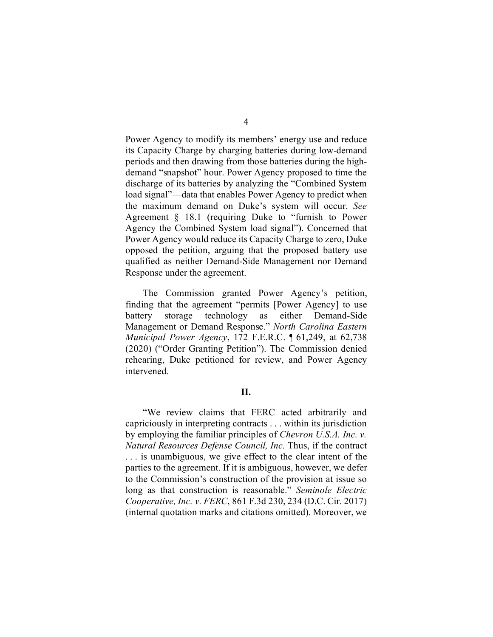Power Agency to modify its members' energy use and reduce its Capacity Charge by charging batteries during low-demand periods and then drawing from those batteries during the highdemand "snapshot" hour. Power Agency proposed to time the discharge of its batteries by analyzing the "Combined System load signal"—data that enables Power Agency to predict when the maximum demand on Duke's system will occur. *See* Agreement § 18.1 (requiring Duke to "furnish to Power Agency the Combined System load signal"). Concerned that Power Agency would reduce its Capacity Charge to zero, Duke opposed the petition, arguing that the proposed battery use qualified as neither Demand-Side Management nor Demand Response under the agreement.

The Commission granted Power Agency's petition, finding that the agreement "permits [Power Agency] to use battery storage technology as either Demand-Side Management or Demand Response." *North Carolina Eastern Municipal Power Agency*, 172 F.E.R.C. ¶ 61,249, at 62,738 (2020) ("Order Granting Petition"). The Commission denied rehearing, Duke petitioned for review, and Power Agency intervened.

## **II.**

"We review claims that FERC acted arbitrarily and capriciously in interpreting contracts . . . within its jurisdiction by employing the familiar principles of *Chevron U.S.A. Inc. v. Natural Resources Defense Council, Inc.* Thus, if the contract . . . is unambiguous, we give effect to the clear intent of the parties to the agreement. If it is ambiguous, however, we defer to the Commission's construction of the provision at issue so long as that construction is reasonable." *Seminole Electric Cooperative, Inc. v. FERC*, 861 F.3d 230, 234 (D.C. Cir. 2017) (internal quotation marks and citations omitted). Moreover, we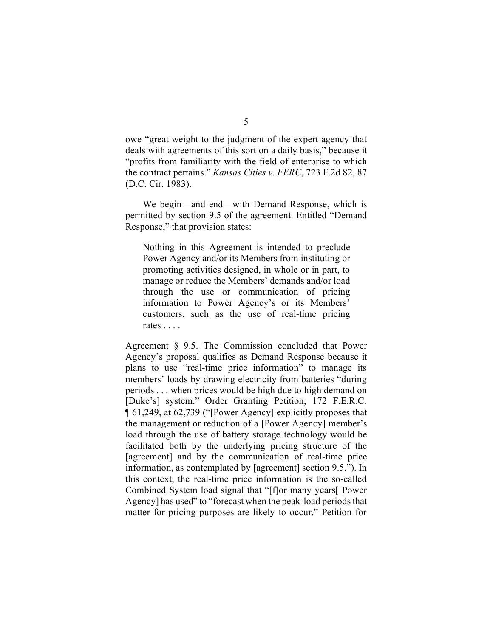owe "great weight to the judgment of the expert agency that deals with agreements of this sort on a daily basis," because it "profits from familiarity with the field of enterprise to which the contract pertains." *Kansas Cities v. FERC*, 723 F.2d 82, 87 (D.C. Cir. 1983).

We begin—and end—with Demand Response, which is permitted by section 9.5 of the agreement. Entitled "Demand Response," that provision states:

Nothing in this Agreement is intended to preclude Power Agency and/or its Members from instituting or promoting activities designed, in whole or in part, to manage or reduce the Members' demands and/or load through the use or communication of pricing information to Power Agency's or its Members' customers, such as the use of real-time pricing rates . . . .

Agreement § 9.5. The Commission concluded that Power Agency's proposal qualifies as Demand Response because it plans to use "real-time price information" to manage its members' loads by drawing electricity from batteries "during periods . . . when prices would be high due to high demand on [Duke's] system." Order Granting Petition, 172 F.E.R.C. ¶ 61,249, at 62,739 ("[Power Agency] explicitly proposes that the management or reduction of a [Power Agency] member's load through the use of battery storage technology would be facilitated both by the underlying pricing structure of the [agreement] and by the communication of real-time price information, as contemplated by [agreement] section 9.5."). In this context, the real-time price information is the so-called Combined System load signal that "[f]or many years[ Power Agency] has used" to "forecast when the peak-load periods that matter for pricing purposes are likely to occur." Petition for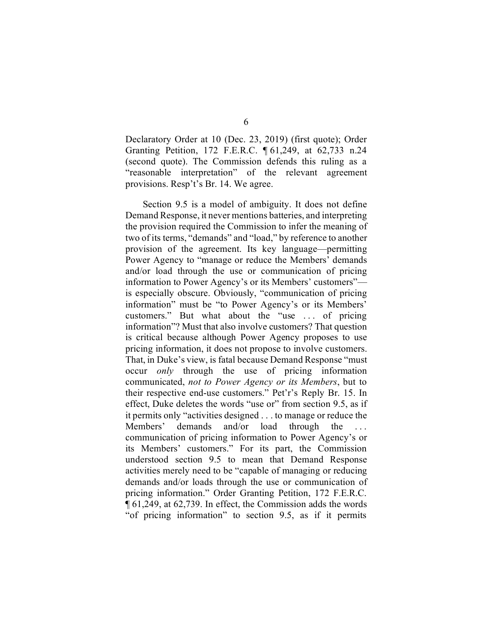Declaratory Order at 10 (Dec. 23, 2019) (first quote); Order Granting Petition, 172 F.E.R.C. ¶ 61,249, at 62,733 n.24 (second quote). The Commission defends this ruling as a "reasonable interpretation" of the relevant agreement provisions. Resp't's Br. 14. We agree.

Section 9.5 is a model of ambiguity. It does not define Demand Response, it never mentions batteries, and interpreting the provision required the Commission to infer the meaning of two of its terms, "demands" and "load," by reference to another provision of the agreement. Its key language—permitting Power Agency to "manage or reduce the Members' demands and/or load through the use or communication of pricing information to Power Agency's or its Members' customers" is especially obscure. Obviously, "communication of pricing information" must be "to Power Agency's or its Members' customers." But what about the "use ... of pricing information"? Must that also involve customers? That question is critical because although Power Agency proposes to use pricing information, it does not propose to involve customers. That, in Duke's view, is fatal because Demand Response "must occur *only* through the use of pricing information communicated, *not to Power Agency or its Members*, but to their respective end-use customers." Pet'r's Reply Br. 15. In effect, Duke deletes the words "use or" from section 9.5, as if it permits only "activities designed . . . to manage or reduce the Members' demands and/or load through the ... communication of pricing information to Power Agency's or its Members' customers." For its part, the Commission understood section 9.5 to mean that Demand Response activities merely need to be "capable of managing or reducing demands and/or loads through the use or communication of pricing information." Order Granting Petition, 172 F.E.R.C. ¶ 61,249, at 62,739. In effect, the Commission adds the words "of pricing information" to section 9.5, as if it permits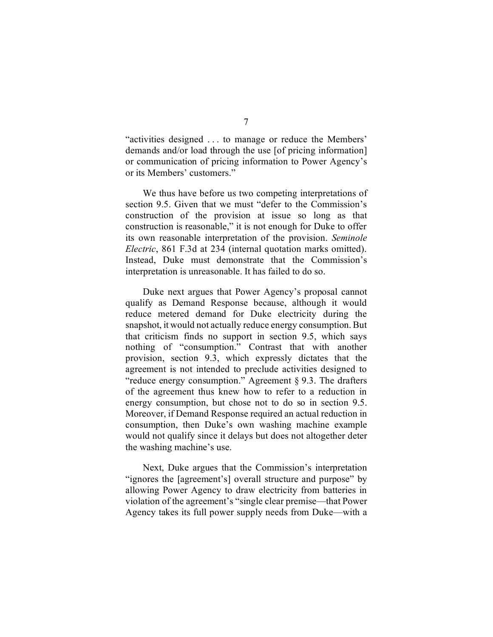"activities designed . . . to manage or reduce the Members' demands and/or load through the use [of pricing information] or communication of pricing information to Power Agency's or its Members' customers."

We thus have before us two competing interpretations of section 9.5. Given that we must "defer to the Commission's construction of the provision at issue so long as that construction is reasonable," it is not enough for Duke to offer its own reasonable interpretation of the provision. *Seminole Electric*, 861 F.3d at 234 (internal quotation marks omitted). Instead, Duke must demonstrate that the Commission's interpretation is unreasonable. It has failed to do so.

Duke next argues that Power Agency's proposal cannot qualify as Demand Response because, although it would reduce metered demand for Duke electricity during the snapshot, it would not actually reduce energy consumption. But that criticism finds no support in section 9.5, which says nothing of "consumption." Contrast that with another provision, section 9.3, which expressly dictates that the agreement is not intended to preclude activities designed to "reduce energy consumption." Agreement § 9.3. The drafters of the agreement thus knew how to refer to a reduction in energy consumption, but chose not to do so in section 9.5. Moreover, if Demand Response required an actual reduction in consumption, then Duke's own washing machine example would not qualify since it delays but does not altogether deter the washing machine's use.

Next, Duke argues that the Commission's interpretation "ignores the [agreement's] overall structure and purpose" by allowing Power Agency to draw electricity from batteries in violation of the agreement's "single clear premise—that Power Agency takes its full power supply needs from Duke—with a